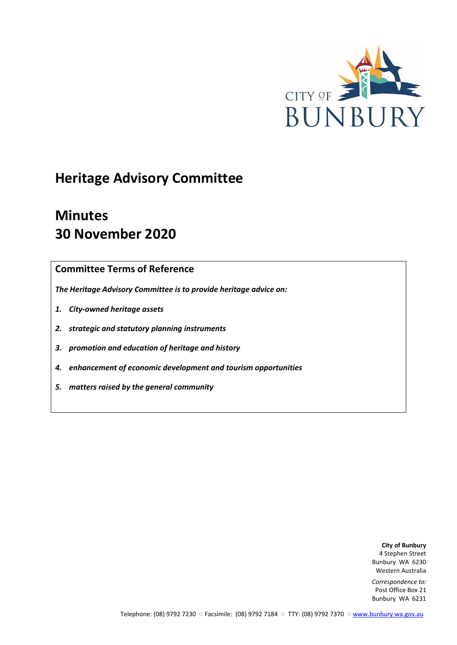

# **Heritage Advisory Committee**

# **Minutes 30 November 2020**

## **Committee Terms of Reference**

*The Heritage Advisory Committee is to provide heritage advice on:*

- *1. City-owned heritage assets*
- *2. strategic and statutory planning instruments*
- *3. promotion and education of heritage and history*
- *4. enhancement of economic development and tourism opportunities*
- *5. matters raised by the general community*

**City of Bunbury** 4 Stephen Street Bunbury WA 6230 Western Australia

*Correspondence to:* Post Office Box 21 Bunbury WA 6231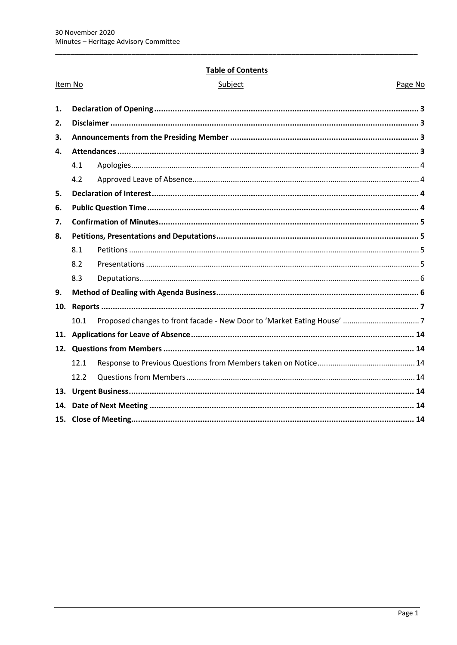## **Table of Contents**

|    | Item No | Subject | Page No |
|----|---------|---------|---------|
| 1. |         |         |         |
| 2. |         |         |         |
| 3. |         |         |         |
| 4. |         |         |         |
|    | 4.1     |         |         |
|    | 4.2     |         |         |
| 5. |         |         |         |
| 6. |         |         |         |
| 7. |         |         |         |
| 8. |         |         |         |
|    | 8.1     |         |         |
|    | 8.2     |         |         |
|    | 8.3     |         |         |
| 9. |         |         |         |
|    |         |         |         |
|    | 10.1    |         |         |
|    |         |         |         |
|    |         |         |         |
|    | 12.1    |         |         |
|    | 12.2    |         |         |
|    |         |         |         |
|    |         |         |         |
|    |         |         |         |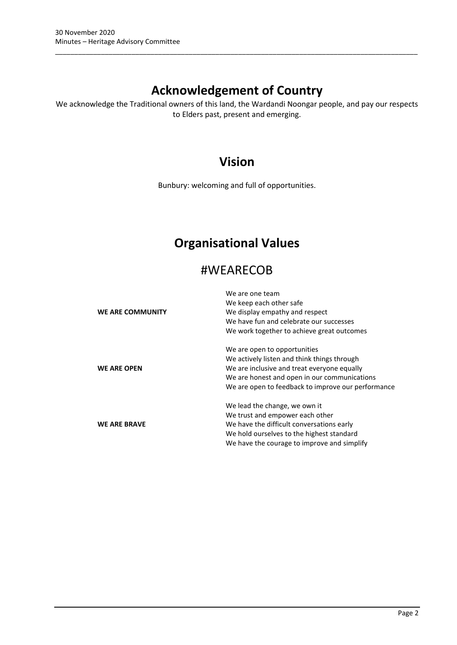# **Acknowledgement of Country**

\_\_\_\_\_\_\_\_\_\_\_\_\_\_\_\_\_\_\_\_\_\_\_\_\_\_\_\_\_\_\_\_\_\_\_\_\_\_\_\_\_\_\_\_\_\_\_\_\_\_\_\_\_\_\_\_\_\_\_\_\_\_\_\_\_\_\_\_\_\_\_\_\_\_\_\_\_\_\_\_\_\_\_\_\_\_\_\_\_\_\_\_\_\_\_

We acknowledge the Traditional owners of this land, the Wardandi Noongar people, and pay our respects to Elders past, present and emerging.

## **Vision**

Bunbury: welcoming and full of opportunities.

# **Organisational Values**

## #WEARECOB

|                     | We are one team                                    |
|---------------------|----------------------------------------------------|
|                     | We keep each other safe                            |
| WE ARE COMMUNITY    | We display empathy and respect                     |
|                     | We have fun and celebrate our successes            |
|                     | We work together to achieve great outcomes         |
|                     | We are open to opportunities                       |
|                     | We actively listen and think things through        |
| <b>WE ARE OPEN</b>  | We are inclusive and treat everyone equally        |
|                     | We are honest and open in our communications       |
|                     | We are open to feedback to improve our performance |
|                     | We lead the change, we own it                      |
|                     | We trust and empower each other                    |
| <b>WE ARE BRAVE</b> | We have the difficult conversations early          |
|                     | We hold ourselves to the highest standard          |
|                     | We have the courage to improve and simplify        |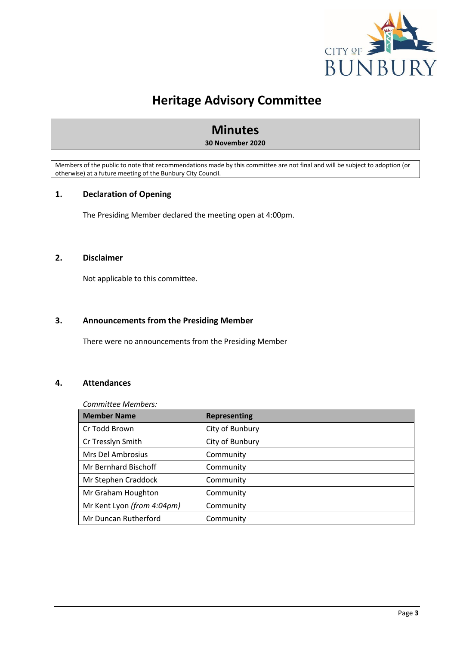

# **Heritage Advisory Committee**

## **Minutes**

#### **30 November 2020**

Members of the public to note that recommendations made by this committee are not final and will be subject to adoption (or otherwise) at a future meeting of the Bunbury City Council.

## <span id="page-3-0"></span>**1. Declaration of Opening**

The Presiding Member declared the meeting open at 4:00pm.

## <span id="page-3-1"></span>**2. Disclaimer**

Not applicable to this committee.

## <span id="page-3-2"></span>**3. Announcements from the Presiding Member**

There were no announcements from the Presiding Member

## <span id="page-3-3"></span>**4. Attendances**

#### *Committee Members:*

| <b>Member Name</b>          | <b>Representing</b> |
|-----------------------------|---------------------|
| Cr Todd Brown               | City of Bunbury     |
| Cr Tresslyn Smith           | City of Bunbury     |
| Mrs Del Ambrosius           | Community           |
| <b>Mr Bernhard Bischoff</b> | Community           |
| Mr Stephen Craddock         | Community           |
| Mr Graham Houghton          | Community           |
| Mr Kent Lyon (from 4:04pm)  | Community           |
| Mr Duncan Rutherford        | Community           |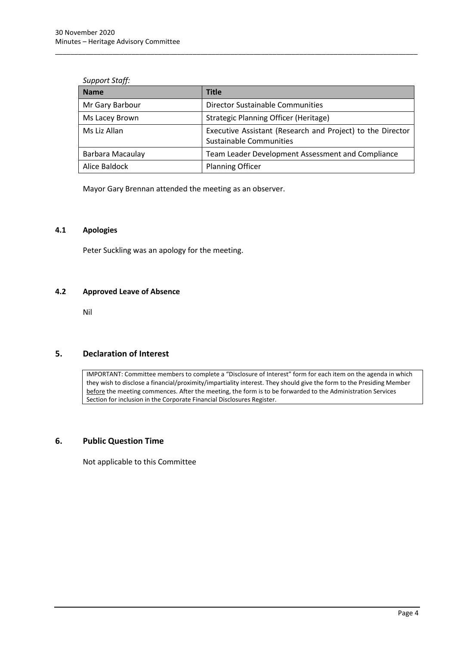#### *Support Staff:*

| Name             | Title                                                                                 |
|------------------|---------------------------------------------------------------------------------------|
| Mr Gary Barbour  | <b>Director Sustainable Communities</b>                                               |
| Ms Lacey Brown   | Strategic Planning Officer (Heritage)                                                 |
| Ms Liz Allan     | Executive Assistant (Research and Project) to the Director<br>Sustainable Communities |
| Barbara Macaulay | Team Leader Development Assessment and Compliance                                     |
| Alice Baldock    | <b>Planning Officer</b>                                                               |

\_\_\_\_\_\_\_\_\_\_\_\_\_\_\_\_\_\_\_\_\_\_\_\_\_\_\_\_\_\_\_\_\_\_\_\_\_\_\_\_\_\_\_\_\_\_\_\_\_\_\_\_\_\_\_\_\_\_\_\_\_\_\_\_\_\_\_\_\_\_\_\_\_\_\_\_\_\_\_\_\_\_\_\_\_\_\_\_\_\_\_\_\_\_\_

Mayor Gary Brennan attended the meeting as an observer.

#### <span id="page-4-0"></span>**4.1 Apologies**

Peter Suckling was an apology for the meeting.

## <span id="page-4-1"></span>**4.2 Approved Leave of Absence**

Nil

## <span id="page-4-2"></span>**5. Declaration of Interest**

IMPORTANT: Committee members to complete a "Disclosure of Interest" form for each item on the agenda in which they wish to disclose a financial/proximity/impartiality interest. They should give the form to the Presiding Member before the meeting commences. After the meeting, the form is to be forwarded to the Administration Services Section for inclusion in the Corporate Financial Disclosures Register.

## <span id="page-4-3"></span>**6. Public Question Time**

Not applicable to this Committee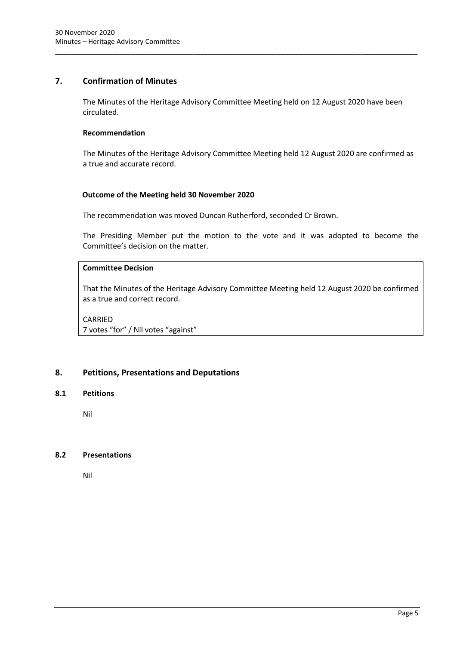## <span id="page-5-0"></span>**7. Confirmation of Minutes**

The Minutes of the Heritage Advisory Committee Meeting held on 12 August 2020 have been circulated.

\_\_\_\_\_\_\_\_\_\_\_\_\_\_\_\_\_\_\_\_\_\_\_\_\_\_\_\_\_\_\_\_\_\_\_\_\_\_\_\_\_\_\_\_\_\_\_\_\_\_\_\_\_\_\_\_\_\_\_\_\_\_\_\_\_\_\_\_\_\_\_\_\_\_\_\_\_\_\_\_\_\_\_\_\_\_\_\_\_\_\_\_\_\_\_

#### **Recommendation**

The Minutes of the Heritage Advisory Committee Meeting held 12 August 2020 are confirmed as a true and accurate record.

### **Outcome of the Meeting held 30 November 2020**

The recommendation was moved Duncan Rutherford, seconded Cr Brown.

The Presiding Member put the motion to the vote and it was adopted to become the Committee's decision on the matter.

## **Committee Decision**

That the Minutes of the Heritage Advisory Committee Meeting held 12 August 2020 be confirmed as a true and correct record.

CARRIED 7 votes "for" / Nil votes "against"

## <span id="page-5-1"></span>**8. Petitions, Presentations and Deputations**

#### <span id="page-5-2"></span>**8.1 Petitions**

Nil

#### <span id="page-5-3"></span>**8.2 Presentations**

Nil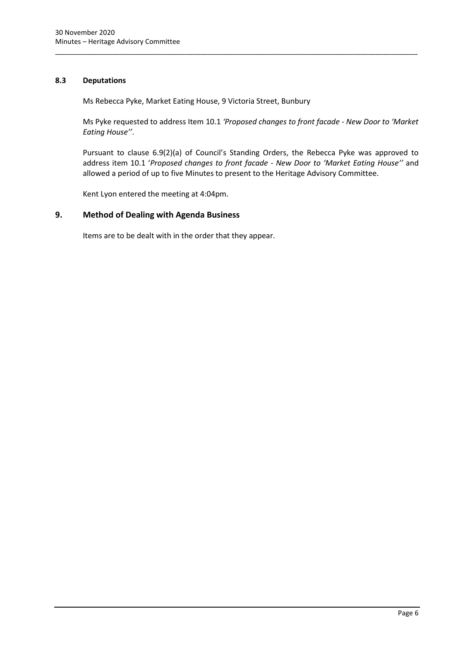## <span id="page-6-0"></span>**8.3 Deputations**

Ms Rebecca Pyke, Market Eating House, 9 Victoria Street, Bunbury

Ms Pyke requested to address Item 10.1 *'Proposed changes to front facade - New Door to 'Market Eating House''*.

\_\_\_\_\_\_\_\_\_\_\_\_\_\_\_\_\_\_\_\_\_\_\_\_\_\_\_\_\_\_\_\_\_\_\_\_\_\_\_\_\_\_\_\_\_\_\_\_\_\_\_\_\_\_\_\_\_\_\_\_\_\_\_\_\_\_\_\_\_\_\_\_\_\_\_\_\_\_\_\_\_\_\_\_\_\_\_\_\_\_\_\_\_\_\_

Pursuant to clause 6.9(2)(a) of Council's Standing Orders, the Rebecca Pyke was approved to address item 10.1 '*Proposed changes to front facade - New Door to 'Market Eating House''* and allowed a period of up to five Minutes to present to the Heritage Advisory Committee.

Kent Lyon entered the meeting at 4:04pm.

## <span id="page-6-1"></span>**9. Method of Dealing with Agenda Business**

Items are to be dealt with in the order that they appear.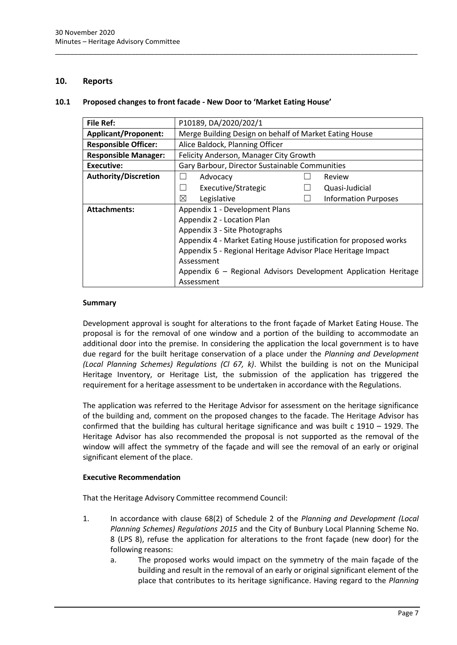#### <span id="page-7-0"></span>**10. Reports**

#### <span id="page-7-1"></span>**10.1 Proposed changes to front facade - New Door to 'Market Eating House'**

| <b>File Ref:</b>            | P10189, DA/2020/202/1                                             |  |  |
|-----------------------------|-------------------------------------------------------------------|--|--|
| <b>Applicant/Proponent:</b> | Merge Building Design on behalf of Market Eating House            |  |  |
| <b>Responsible Officer:</b> | Alice Baldock, Planning Officer                                   |  |  |
| <b>Responsible Manager:</b> | Felicity Anderson, Manager City Growth                            |  |  |
| Executive:                  | Gary Barbour, Director Sustainable Communities                    |  |  |
| <b>Authority/Discretion</b> | Review<br>Advocacy                                                |  |  |
|                             | Executive/Strategic<br>Quasi-Judicial                             |  |  |
|                             | ⊠<br><b>Information Purposes</b><br>Legislative                   |  |  |
| <b>Attachments:</b>         | Appendix 1 - Development Plans                                    |  |  |
|                             | Appendix 2 - Location Plan                                        |  |  |
|                             | Appendix 3 - Site Photographs                                     |  |  |
|                             | Appendix 4 - Market Eating House justification for proposed works |  |  |
|                             | Appendix 5 - Regional Heritage Advisor Place Heritage Impact      |  |  |
|                             | Assessment                                                        |  |  |
|                             | Appendix 6 - Regional Advisors Development Application Heritage   |  |  |
|                             | Assessment                                                        |  |  |

\_\_\_\_\_\_\_\_\_\_\_\_\_\_\_\_\_\_\_\_\_\_\_\_\_\_\_\_\_\_\_\_\_\_\_\_\_\_\_\_\_\_\_\_\_\_\_\_\_\_\_\_\_\_\_\_\_\_\_\_\_\_\_\_\_\_\_\_\_\_\_\_\_\_\_\_\_\_\_\_\_\_\_\_\_\_\_\_\_\_\_\_\_\_\_

#### **Summary**

Development approval is sought for alterations to the front façade of Market Eating House. The proposal is for the removal of one window and a portion of the building to accommodate an additional door into the premise. In considering the application the local government is to have due regard for the built heritage conservation of a place under the *Planning and Development (Local Planning Schemes) Regulations (Cl 67, k)*. Whilst the building is not on the Municipal Heritage Inventory, or Heritage List, the submission of the application has triggered the requirement for a heritage assessment to be undertaken in accordance with the Regulations.

The application was referred to the Heritage Advisor for assessment on the heritage significance of the building and, comment on the proposed changes to the facade. The Heritage Advisor has confirmed that the building has cultural heritage significance and was built c 1910 – 1929. The Heritage Advisor has also recommended the proposal is not supported as the removal of the window will affect the symmetry of the façade and will see the removal of an early or original significant element of the place.

#### **Executive Recommendation**

That the Heritage Advisory Committee recommend Council:

- 1. In accordance with clause 68(2) of Schedule 2 of the *Planning and Development (Local Planning Schemes) Regulations 2015* and the City of Bunbury Local Planning Scheme No. 8 (LPS 8), refuse the application for alterations to the front façade (new door) for the following reasons:
	- a. The proposed works would impact on the symmetry of the main façade of the building and result in the removal of an early or original significant element of the place that contributes to its heritage significance. Having regard to the *Planning*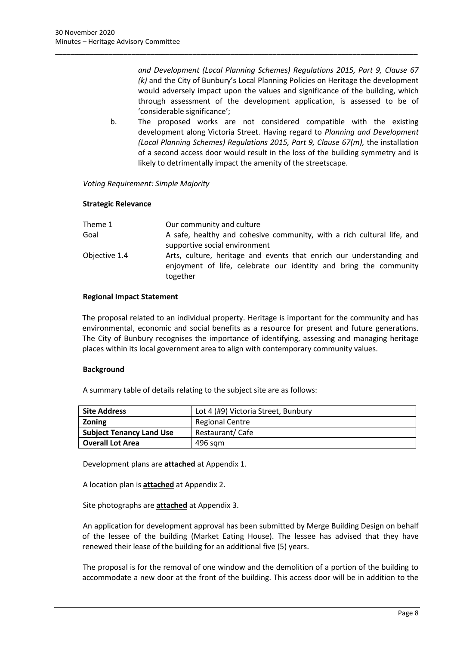*and Development (Local Planning Schemes) Regulations 2015, Part 9, Clause 67 (k)* and the City of Bunbury's Local Planning Policies on Heritage the development would adversely impact upon the values and significance of the building, which through assessment of the development application, is assessed to be of 'considerable significance';

b. The proposed works are not considered compatible with the existing development along Victoria Street. Having regard to *Planning and Development (Local Planning Schemes) Regulations 2015, Part 9, Clause 67(m),* the installation of a second access door would result in the loss of the building symmetry and is likely to detrimentally impact the amenity of the streetscape.

\_\_\_\_\_\_\_\_\_\_\_\_\_\_\_\_\_\_\_\_\_\_\_\_\_\_\_\_\_\_\_\_\_\_\_\_\_\_\_\_\_\_\_\_\_\_\_\_\_\_\_\_\_\_\_\_\_\_\_\_\_\_\_\_\_\_\_\_\_\_\_\_\_\_\_\_\_\_\_\_\_\_\_\_\_\_\_\_\_\_\_\_\_\_\_

#### *Voting Requirement: Simple Majority*

#### **Strategic Relevance**

| Theme 1       | Our community and culture                                                                                                                             |
|---------------|-------------------------------------------------------------------------------------------------------------------------------------------------------|
| Goal          | A safe, healthy and cohesive community, with a rich cultural life, and<br>supportive social environment                                               |
|               |                                                                                                                                                       |
| Objective 1.4 | Arts, culture, heritage and events that enrich our understanding and<br>enjoyment of life, celebrate our identity and bring the community<br>together |

#### **Regional Impact Statement**

The proposal related to an individual property. Heritage is important for the community and has environmental, economic and social benefits as a resource for present and future generations. The City of Bunbury recognises the importance of identifying, assessing and managing heritage places within its local government area to align with contemporary community values.

#### **Background**

A summary table of details relating to the subject site are as follows:

| <b>Site Address</b>             | Lot 4 (#9) Victoria Street, Bunbury |
|---------------------------------|-------------------------------------|
| Zoning                          | <b>Regional Centre</b>              |
| <b>Subject Tenancy Land Use</b> | Restaurant/Cafe                     |
| <b>Overall Lot Area</b>         | 496 sam                             |

Development plans are **attached** at Appendix 1.

A location plan is **attached** at Appendix 2.

Site photographs are **attached** at Appendix 3.

An application for development approval has been submitted by Merge Building Design on behalf of the lessee of the building (Market Eating House). The lessee has advised that they have renewed their lease of the building for an additional five (5) years.

The proposal is for the removal of one window and the demolition of a portion of the building to accommodate a new door at the front of the building. This access door will be in addition to the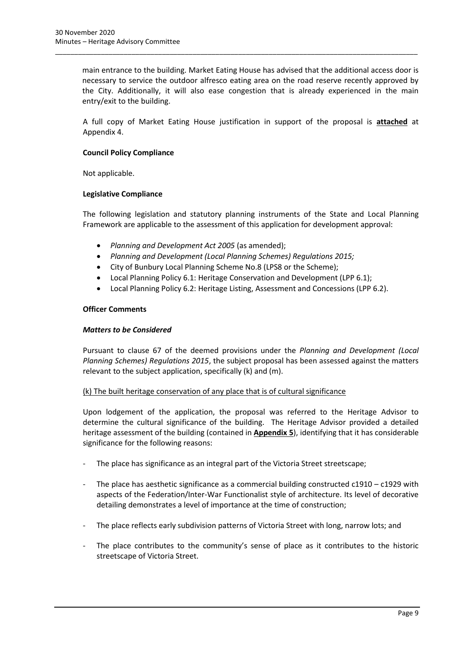main entrance to the building. Market Eating House has advised that the additional access door is necessary to service the outdoor alfresco eating area on the road reserve recently approved by the City. Additionally, it will also ease congestion that is already experienced in the main entry/exit to the building.

\_\_\_\_\_\_\_\_\_\_\_\_\_\_\_\_\_\_\_\_\_\_\_\_\_\_\_\_\_\_\_\_\_\_\_\_\_\_\_\_\_\_\_\_\_\_\_\_\_\_\_\_\_\_\_\_\_\_\_\_\_\_\_\_\_\_\_\_\_\_\_\_\_\_\_\_\_\_\_\_\_\_\_\_\_\_\_\_\_\_\_\_\_\_\_

A full copy of Market Eating House justification in support of the proposal is **attached** at Appendix 4.

## **Council Policy Compliance**

Not applicable.

#### **Legislative Compliance**

The following legislation and statutory planning instruments of the State and Local Planning Framework are applicable to the assessment of this application for development approval:

- *Planning and Development Act 2005* (as amended);
- *Planning and Development (Local Planning Schemes) Regulations 2015;*
- City of Bunbury Local Planning Scheme No.8 (LPS8 or the Scheme);
- Local Planning Policy 6.1: Heritage Conservation and Development (LPP 6.1);
- Local Planning Policy 6.2: Heritage Listing, Assessment and Concessions (LPP 6.2).

#### **Officer Comments**

#### *Matters to be Considered*

Pursuant to clause 67 of the deemed provisions under the *Planning and Development (Local Planning Schemes) Regulations 2015*, the subject proposal has been assessed against the matters relevant to the subject application, specifically (k) and (m).

#### (k) The built heritage conservation of any place that is of cultural significance

Upon lodgement of the application, the proposal was referred to the Heritage Advisor to determine the cultural significance of the building. The Heritage Advisor provided a detailed heritage assessment of the building (contained in **Appendix 5**), identifying that it has considerable significance for the following reasons:

- The place has significance as an integral part of the Victoria Street streetscape;
- The place has aesthetic significance as a commercial building constructed  $c1910 c1929$  with aspects of the Federation/Inter-War Functionalist style of architecture. Its level of decorative detailing demonstrates a level of importance at the time of construction;
- The place reflects early subdivision patterns of Victoria Street with long, narrow lots; and
- The place contributes to the community's sense of place as it contributes to the historic streetscape of Victoria Street.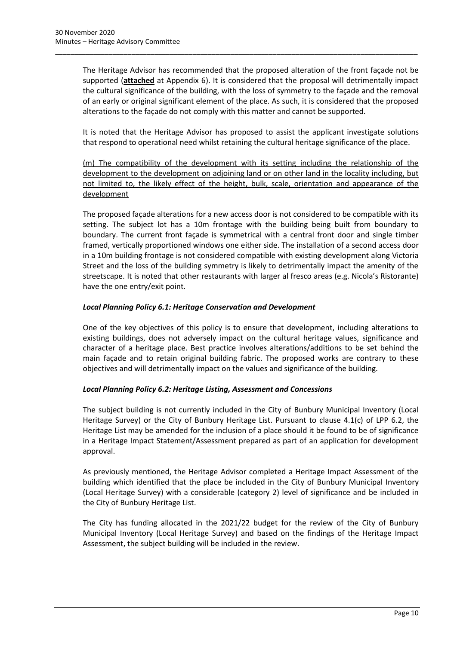The Heritage Advisor has recommended that the proposed alteration of the front façade not be supported (**attached** at Appendix 6). It is considered that the proposal will detrimentally impact the cultural significance of the building, with the loss of symmetry to the façade and the removal of an early or original significant element of the place. As such, it is considered that the proposed alterations to the façade do not comply with this matter and cannot be supported.

\_\_\_\_\_\_\_\_\_\_\_\_\_\_\_\_\_\_\_\_\_\_\_\_\_\_\_\_\_\_\_\_\_\_\_\_\_\_\_\_\_\_\_\_\_\_\_\_\_\_\_\_\_\_\_\_\_\_\_\_\_\_\_\_\_\_\_\_\_\_\_\_\_\_\_\_\_\_\_\_\_\_\_\_\_\_\_\_\_\_\_\_\_\_\_

It is noted that the Heritage Advisor has proposed to assist the applicant investigate solutions that respond to operational need whilst retaining the cultural heritage significance of the place.

(m) The compatibility of the development with its setting including the relationship of the development to the development on adjoining land or on other land in the locality including, but not limited to, the likely effect of the height, bulk, scale, orientation and appearance of the development

The proposed façade alterations for a new access door is not considered to be compatible with its setting. The subject lot has a 10m frontage with the building being built from boundary to boundary. The current front façade is symmetrical with a central front door and single timber framed, vertically proportioned windows one either side. The installation of a second access door in a 10m building frontage is not considered compatible with existing development along Victoria Street and the loss of the building symmetry is likely to detrimentally impact the amenity of the streetscape. It is noted that other restaurants with larger al fresco areas (e.g. Nicola's Ristorante) have the one entry/exit point.

## *Local Planning Policy 6.1: Heritage Conservation and Development*

One of the key objectives of this policy is to ensure that development, including alterations to existing buildings, does not adversely impact on the cultural heritage values, significance and character of a heritage place. Best practice involves alterations/additions to be set behind the main façade and to retain original building fabric. The proposed works are contrary to these objectives and will detrimentally impact on the values and significance of the building.

## *Local Planning Policy 6.2: Heritage Listing, Assessment and Concessions*

The subject building is not currently included in the City of Bunbury Municipal Inventory (Local Heritage Survey) or the City of Bunbury Heritage List. Pursuant to clause 4.1(c) of LPP 6.2, the Heritage List may be amended for the inclusion of a place should it be found to be of significance in a Heritage Impact Statement/Assessment prepared as part of an application for development approval.

As previously mentioned, the Heritage Advisor completed a Heritage Impact Assessment of the building which identified that the place be included in the City of Bunbury Municipal Inventory (Local Heritage Survey) with a considerable (category 2) level of significance and be included in the City of Bunbury Heritage List.

The City has funding allocated in the 2021/22 budget for the review of the City of Bunbury Municipal Inventory (Local Heritage Survey) and based on the findings of the Heritage Impact Assessment, the subject building will be included in the review.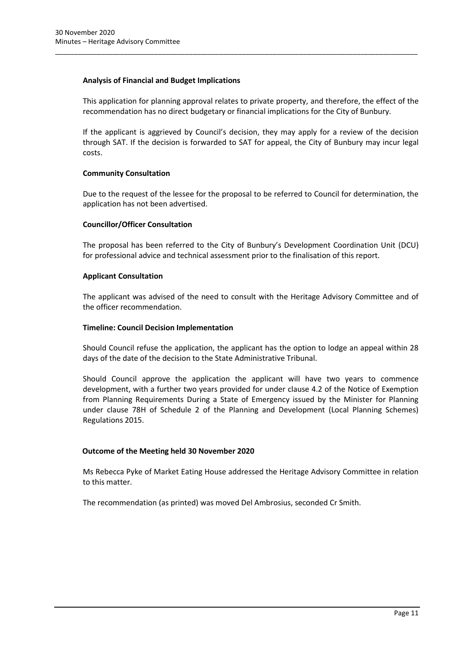#### **Analysis of Financial and Budget Implications**

This application for planning approval relates to private property, and therefore, the effect of the recommendation has no direct budgetary or financial implications for the City of Bunbury.

\_\_\_\_\_\_\_\_\_\_\_\_\_\_\_\_\_\_\_\_\_\_\_\_\_\_\_\_\_\_\_\_\_\_\_\_\_\_\_\_\_\_\_\_\_\_\_\_\_\_\_\_\_\_\_\_\_\_\_\_\_\_\_\_\_\_\_\_\_\_\_\_\_\_\_\_\_\_\_\_\_\_\_\_\_\_\_\_\_\_\_\_\_\_\_

If the applicant is aggrieved by Council's decision, they may apply for a review of the decision through SAT. If the decision is forwarded to SAT for appeal, the City of Bunbury may incur legal costs.

#### **Community Consultation**

Due to the request of the lessee for the proposal to be referred to Council for determination, the application has not been advertised.

#### **Councillor/Officer Consultation**

The proposal has been referred to the City of Bunbury's Development Coordination Unit (DCU) for professional advice and technical assessment prior to the finalisation of this report.

#### **Applicant Consultation**

The applicant was advised of the need to consult with the Heritage Advisory Committee and of the officer recommendation.

#### **Timeline: Council Decision Implementation**

Should Council refuse the application, the applicant has the option to lodge an appeal within 28 days of the date of the decision to the State Administrative Tribunal.

Should Council approve the application the applicant will have two years to commence development, with a further two years provided for under clause 4.2 of the Notice of Exemption from Planning Requirements During a State of Emergency issued by the Minister for Planning under clause 78H of Schedule 2 of the Planning and Development (Local Planning Schemes) Regulations 2015.

#### **Outcome of the Meeting held 30 November 2020**

Ms Rebecca Pyke of Market Eating House addressed the Heritage Advisory Committee in relation to this matter.

The recommendation (as printed) was moved Del Ambrosius, seconded Cr Smith.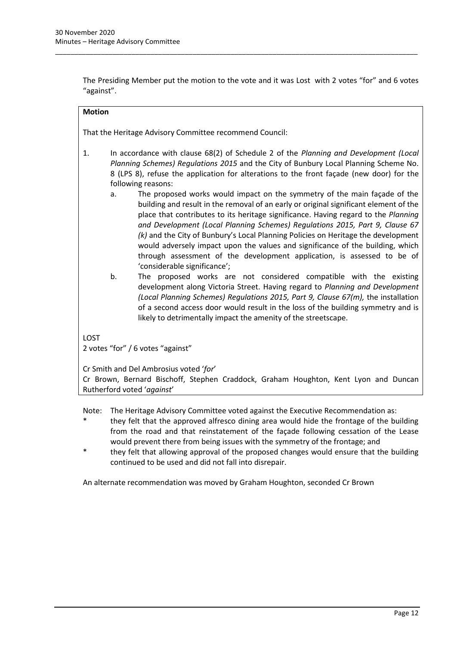The Presiding Member put the motion to the vote and it was Lost with 2 votes "for" and 6 votes "against".

\_\_\_\_\_\_\_\_\_\_\_\_\_\_\_\_\_\_\_\_\_\_\_\_\_\_\_\_\_\_\_\_\_\_\_\_\_\_\_\_\_\_\_\_\_\_\_\_\_\_\_\_\_\_\_\_\_\_\_\_\_\_\_\_\_\_\_\_\_\_\_\_\_\_\_\_\_\_\_\_\_\_\_\_\_\_\_\_\_\_\_\_\_\_\_

#### **Motion**

That the Heritage Advisory Committee recommend Council:

- 1. In accordance with clause 68(2) of Schedule 2 of the *Planning and Development (Local Planning Schemes) Regulations 2015* and the City of Bunbury Local Planning Scheme No. 8 (LPS 8), refuse the application for alterations to the front façade (new door) for the following reasons:
	- a. The proposed works would impact on the symmetry of the main façade of the building and result in the removal of an early or original significant element of the place that contributes to its heritage significance. Having regard to the *Planning and Development (Local Planning Schemes) Regulations 2015, Part 9, Clause 67 (k)* and the City of Bunbury's Local Planning Policies on Heritage the development would adversely impact upon the values and significance of the building, which through assessment of the development application, is assessed to be of 'considerable significance';
	- b. The proposed works are not considered compatible with the existing development along Victoria Street. Having regard to *Planning and Development (Local Planning Schemes) Regulations 2015, Part 9, Clause 67(m),* the installation of a second access door would result in the loss of the building symmetry and is likely to detrimentally impact the amenity of the streetscape.

LOST 2 votes "for" / 6 votes "against"

Cr Smith and Del Ambrosius voted '*for*' Cr Brown, Bernard Bischoff, Stephen Craddock, Graham Houghton, Kent Lyon and Duncan

Rutherford voted '*against*'

Note: The Heritage Advisory Committee voted against the Executive Recommendation as:

- they felt that the approved alfresco dining area would hide the frontage of the building from the road and that reinstatement of the façade following cessation of the Lease would prevent there from being issues with the symmetry of the frontage; and
- they felt that allowing approval of the proposed changes would ensure that the building continued to be used and did not fall into disrepair.

An alternate recommendation was moved by Graham Houghton, seconded Cr Brown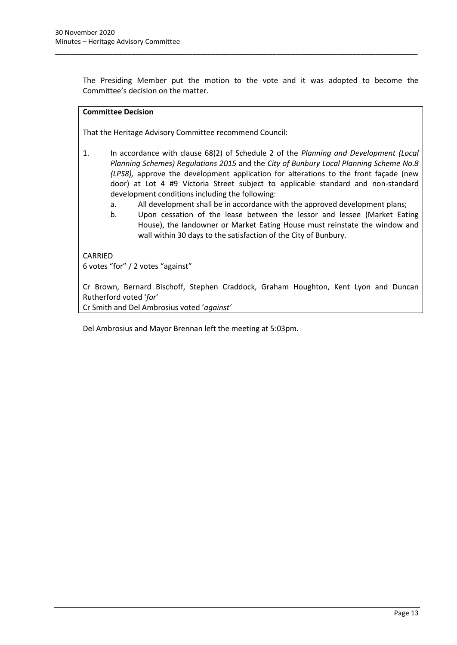The Presiding Member put the motion to the vote and it was adopted to become the Committee's decision on the matter.

\_\_\_\_\_\_\_\_\_\_\_\_\_\_\_\_\_\_\_\_\_\_\_\_\_\_\_\_\_\_\_\_\_\_\_\_\_\_\_\_\_\_\_\_\_\_\_\_\_\_\_\_\_\_\_\_\_\_\_\_\_\_\_\_\_\_\_\_\_\_\_\_\_\_\_\_\_\_\_\_\_\_\_\_\_\_\_\_\_\_\_\_\_\_\_

#### **Committee Decision**

That the Heritage Advisory Committee recommend Council:

- 1. In accordance with clause 68(2) of Schedule 2 of the *Planning and Development (Local Planning Schemes) Regulations 2015* and the *City of Bunbury Local Planning Scheme No.8 (LPS8),* approve the development application for alterations to the front façade (new door) at Lot 4 #9 Victoria Street subject to applicable standard and non-standard development conditions including the following:
	- a. All development shall be in accordance with the approved development plans;
	- b. Upon cessation of the lease between the lessor and lessee (Market Eating House), the landowner or Market Eating House must reinstate the window and wall within 30 days to the satisfaction of the City of Bunbury.

CARRIED 6 votes "for" / 2 votes "against"

Cr Brown, Bernard Bischoff, Stephen Craddock, Graham Houghton, Kent Lyon and Duncan Rutherford voted '*for*'

Cr Smith and Del Ambrosius voted '*against'*

Del Ambrosius and Mayor Brennan left the meeting at 5:03pm.